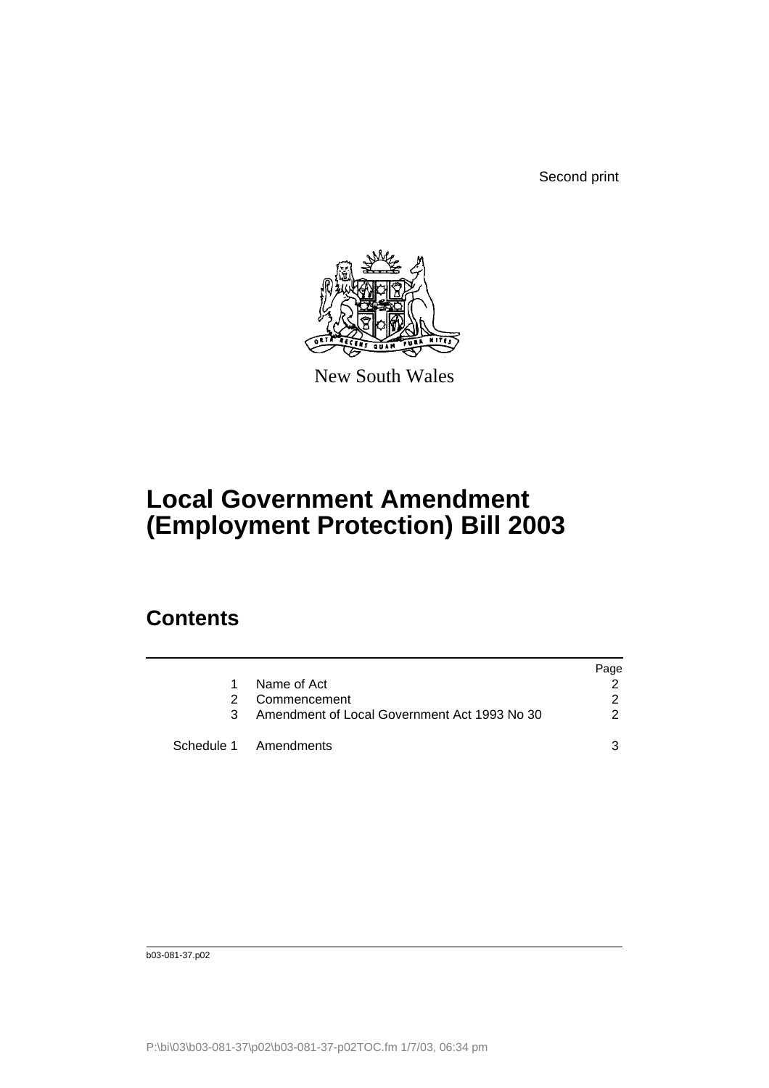Second print



New South Wales

## **Local Government Amendment (Employment Protection) Bill 2003**

## **Contents**

|    |                                              | Page |
|----|----------------------------------------------|------|
|    | Name of Act                                  |      |
| 2  | Commencement                                 | 2    |
| 3. | Amendment of Local Government Act 1993 No 30 | 2    |
|    | Schedule 1 Amendments                        | ર    |

b03-081-37.p02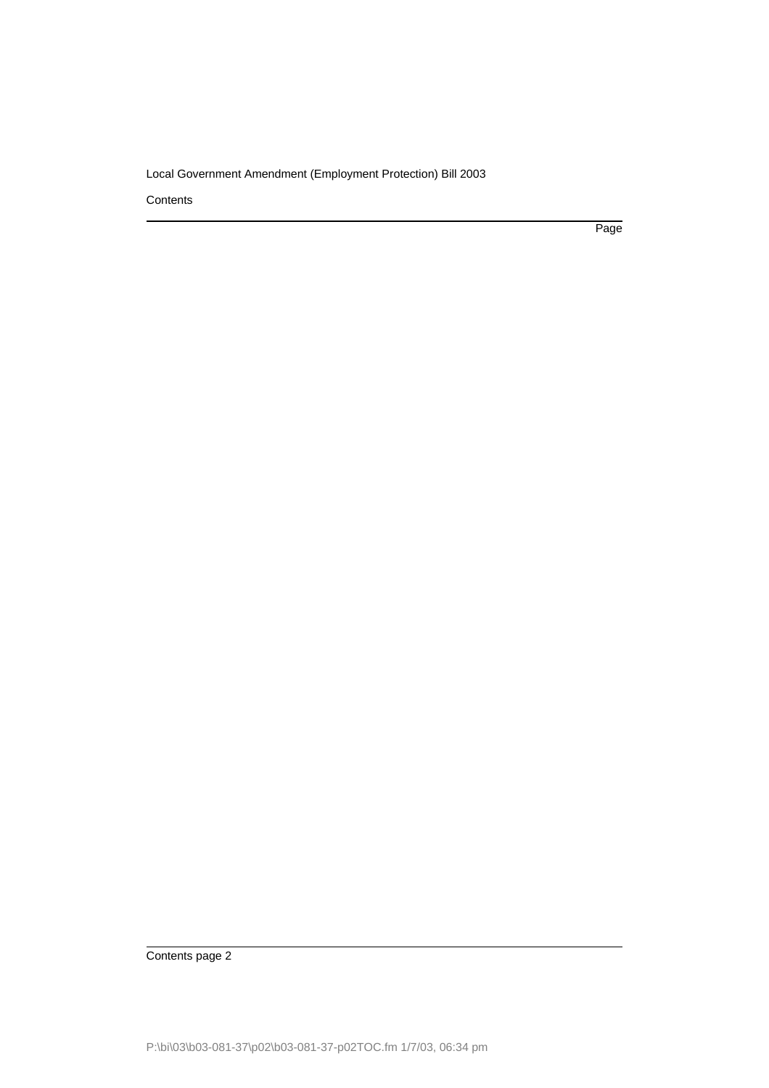**Contents** 

Page

Contents page 2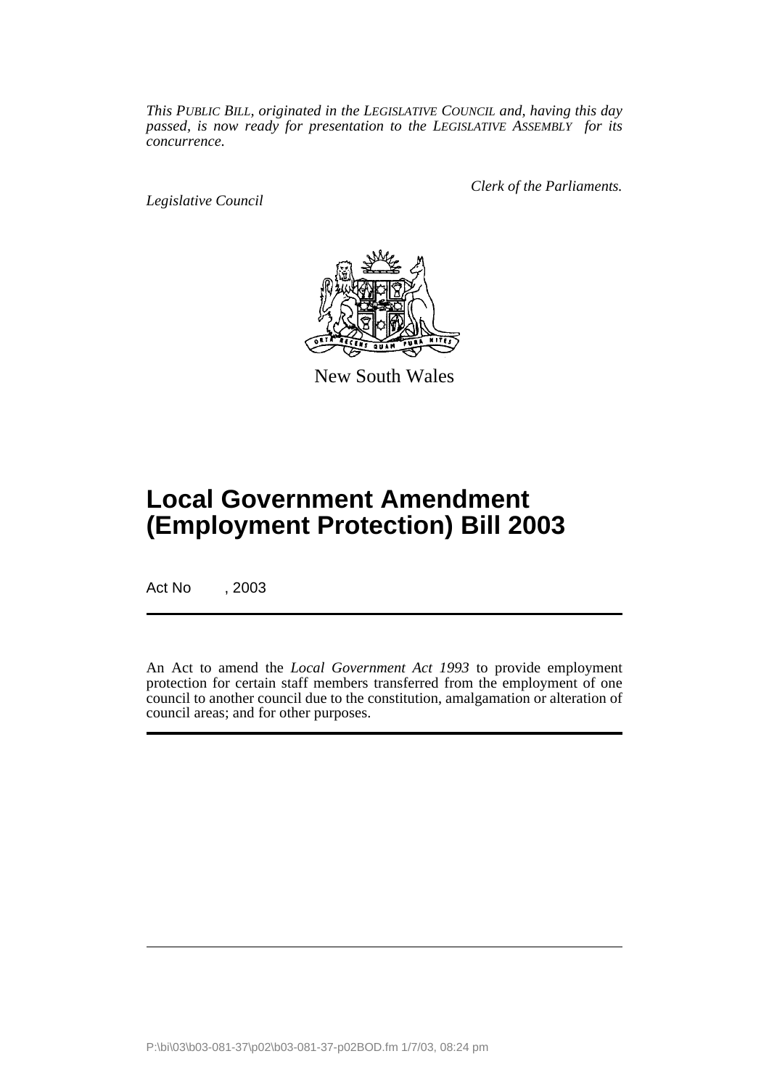*This PUBLIC BILL, originated in the LEGISLATIVE COUNCIL and, having this day passed, is now ready for presentation to the LEGISLATIVE ASSEMBLY for its concurrence.*

*Legislative Council*

*Clerk of the Parliaments.*



New South Wales

## **Local Government Amendment (Employment Protection) Bill 2003**

Act No , 2003

An Act to amend the *Local Government Act 1993* to provide employment protection for certain staff members transferred from the employment of one council to another council due to the constitution, amalgamation or alteration of council areas; and for other purposes.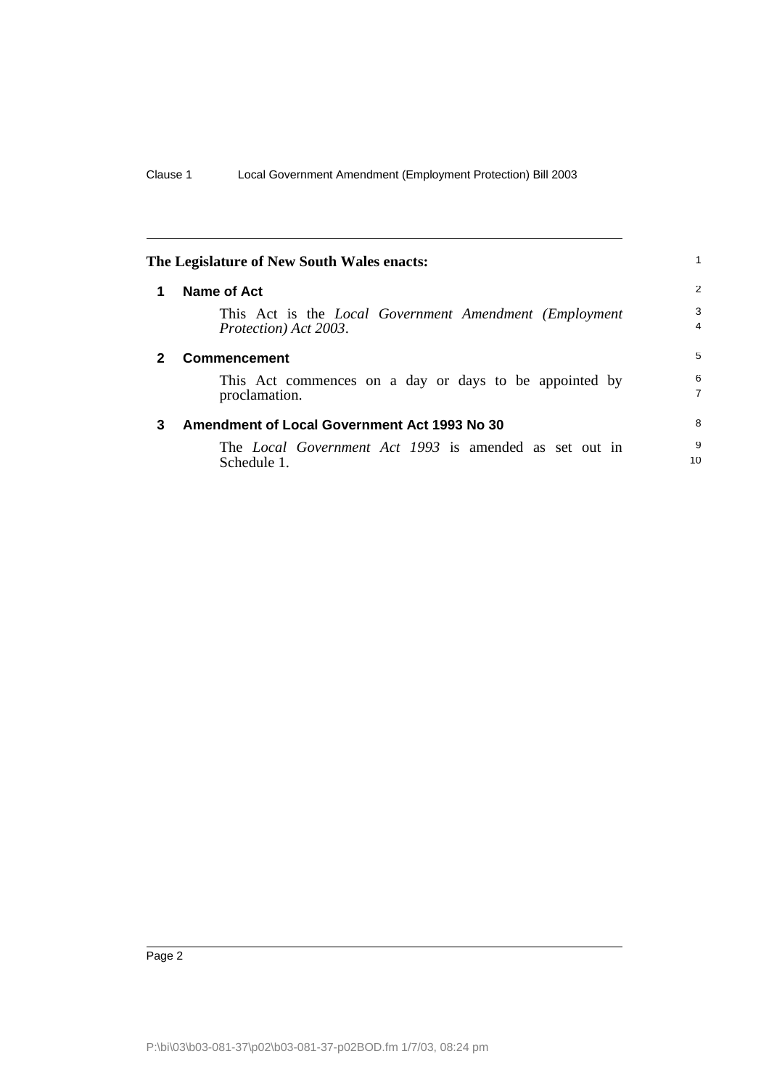<span id="page-3-2"></span><span id="page-3-1"></span><span id="page-3-0"></span>

|              | The Legislature of New South Wales enacts:                                               | 1                   |
|--------------|------------------------------------------------------------------------------------------|---------------------|
|              | Name of Act                                                                              | 2                   |
|              | This Act is the <i>Local Government Amendment (Employment</i> )<br>Protection) Act 2003. | 3<br>4              |
| $\mathbf{2}$ | <b>Commencement</b>                                                                      | 5                   |
|              | This Act commences on a day or days to be appointed by<br>proclamation.                  | 6<br>$\overline{7}$ |
| 3            | Amendment of Local Government Act 1993 No 30                                             | 8                   |
|              | The <i>Local Government Act 1993</i> is amended as set out in<br>Schedule 1.             | 9<br>10             |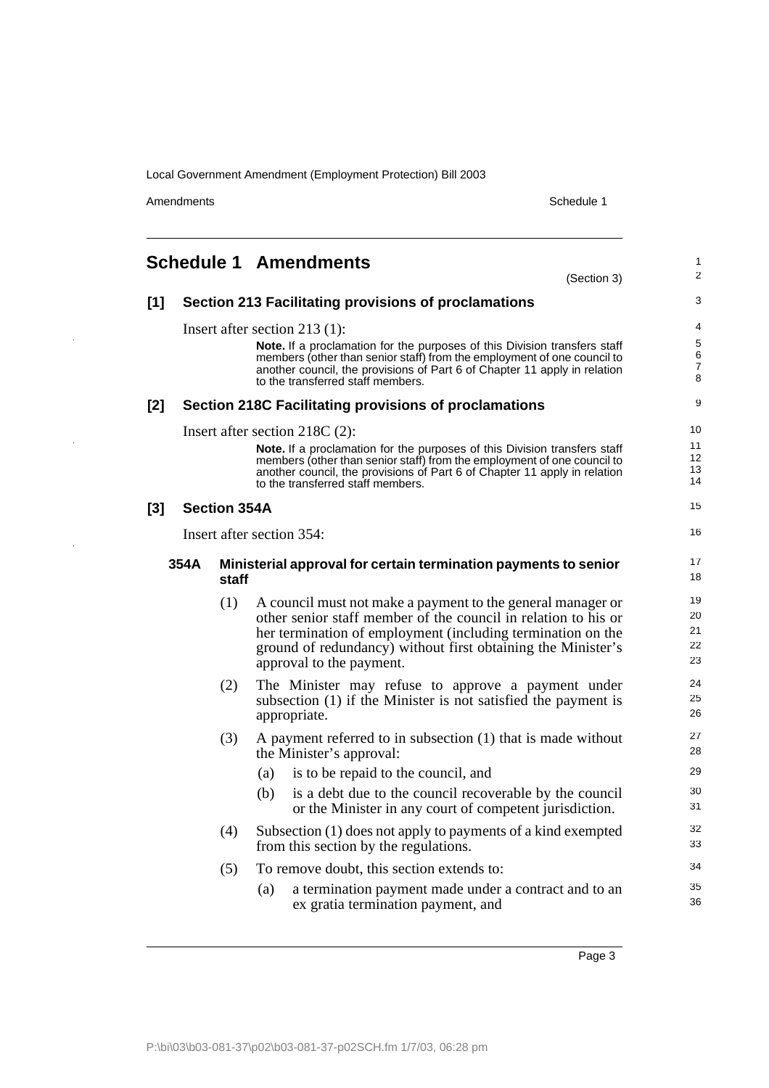Amendments Schedule 1

 $\bar{\bar{z}}$ 

l,

 $\ddot{\phantom{0}}$ 

<span id="page-4-0"></span>

|       |      |                     | <b>Schedule 1 Amendments</b><br>(Section 3)                                                                                                                                                                                                                                                                       | 1<br>$\overline{c}$        |
|-------|------|---------------------|-------------------------------------------------------------------------------------------------------------------------------------------------------------------------------------------------------------------------------------------------------------------------------------------------------------------|----------------------------|
| [1]   |      |                     | Section 213 Facilitating provisions of proclamations                                                                                                                                                                                                                                                              | 3                          |
|       |      |                     | Insert after section 213 $(1)$ :<br><b>Note.</b> If a proclamation for the purposes of this Division transfers staff<br>members (other than senior staff) from the employment of one council to<br>another council, the provisions of Part 6 of Chapter 11 apply in relation<br>to the transferred staff members. | 4<br>5<br>6<br>7<br>8      |
| $[2]$ |      |                     | <b>Section 218C Facilitating provisions of proclamations</b>                                                                                                                                                                                                                                                      | 9                          |
|       |      |                     | Insert after section $218C(2)$ :                                                                                                                                                                                                                                                                                  | 10                         |
|       |      |                     | <b>Note.</b> If a proclamation for the purposes of this Division transfers staff<br>members (other than senior staff) from the employment of one council to<br>another council, the provisions of Part 6 of Chapter 11 apply in relation<br>to the transferred staff members.                                     | 11<br>12<br>13<br>14       |
| $[3]$ |      | <b>Section 354A</b> |                                                                                                                                                                                                                                                                                                                   | 15                         |
|       |      |                     | Insert after section 354:                                                                                                                                                                                                                                                                                         | 16                         |
|       | 354A | staff               | Ministerial approval for certain termination payments to senior                                                                                                                                                                                                                                                   | 17<br>18                   |
|       |      | (1)                 | A council must not make a payment to the general manager or<br>other senior staff member of the council in relation to his or<br>her termination of employment (including termination on the<br>ground of redundancy) without first obtaining the Minister's<br>approval to the payment.                          | 19<br>20<br>21<br>22<br>23 |
|       |      | (2)                 | The Minister may refuse to approve a payment under<br>subsection (1) if the Minister is not satisfied the payment is<br>appropriate.                                                                                                                                                                              | 24<br>25<br>26             |
|       |      | (3)                 | A payment referred to in subsection (1) that is made without<br>the Minister's approval:                                                                                                                                                                                                                          | 27<br>28                   |
|       |      |                     | is to be repaid to the council, and<br>(a)                                                                                                                                                                                                                                                                        | 29                         |
|       |      |                     | is a debt due to the council recoverable by the council<br>(b)<br>or the Minister in any court of competent jurisdiction.                                                                                                                                                                                         | 30<br>31                   |
|       |      | (4)                 | Subsection (1) does not apply to payments of a kind exempted<br>from this section by the regulations.                                                                                                                                                                                                             | 32<br>33                   |
|       |      | (5)                 | To remove doubt, this section extends to:                                                                                                                                                                                                                                                                         | 34                         |
|       |      |                     | (a)<br>a termination payment made under a contract and to an<br>ex gratia termination payment, and                                                                                                                                                                                                                | 35<br>36                   |

Page 3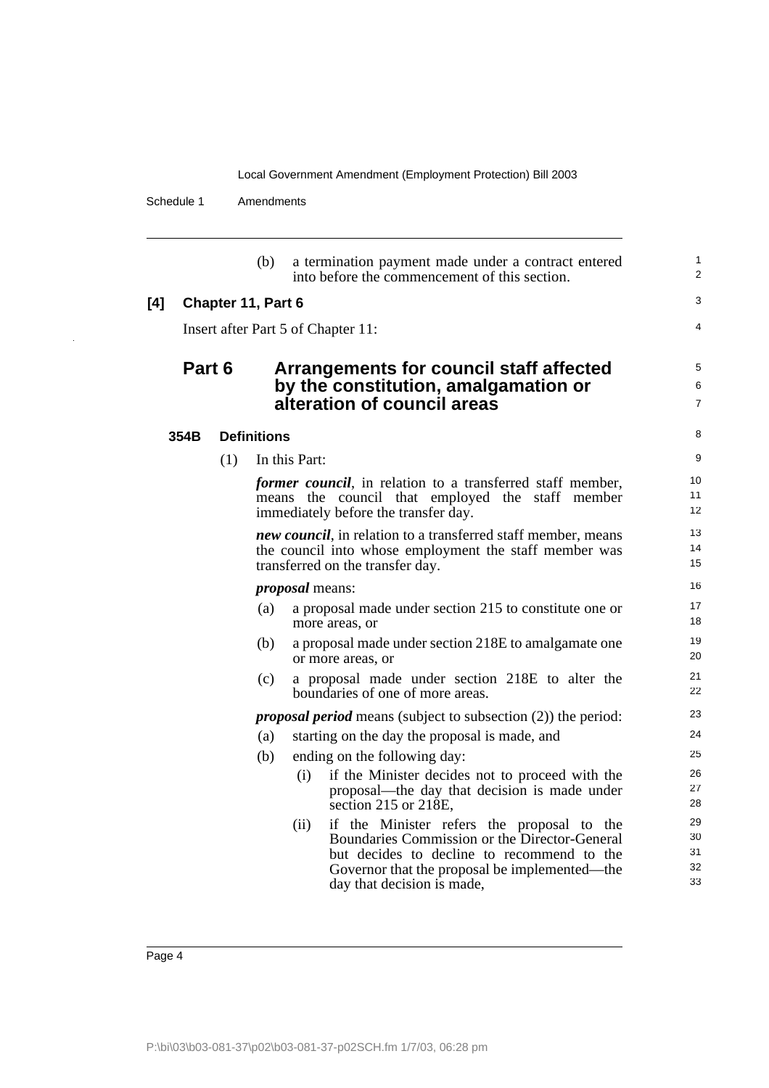Schedule 1 Amendments

 $\overline{\phantom{a}}$ 

|     |                                                                                                                                 |                    | (b)                | a termination payment made under a contract entered<br>into before the commencement of this section.                                                           | $\mathbf{1}$<br>$\overline{2}$                               |
|-----|---------------------------------------------------------------------------------------------------------------------------------|--------------------|--------------------|----------------------------------------------------------------------------------------------------------------------------------------------------------------|--------------------------------------------------------------|
| [4] |                                                                                                                                 | Chapter 11, Part 6 |                    |                                                                                                                                                                | 3                                                            |
|     |                                                                                                                                 |                    |                    | Insert after Part 5 of Chapter 11:                                                                                                                             | 4                                                            |
|     | Part 6<br><b>Arrangements for council staff affected</b><br>by the constitution, amalgamation or<br>alteration of council areas |                    |                    |                                                                                                                                                                |                                                              |
|     | 354B                                                                                                                            |                    | <b>Definitions</b> |                                                                                                                                                                | 8                                                            |
|     |                                                                                                                                 | (1)                |                    | In this Part:                                                                                                                                                  | 9                                                            |
|     |                                                                                                                                 |                    |                    | <i>former council</i> , in relation to a transferred staff member,<br>means the council that employed the staff member<br>immediately before the transfer day. | 10 <sup>°</sup><br>11<br>12 <sup>2</sup>                     |
|     |                                                                                                                                 |                    |                    | new council, in relation to a transferred staff member, means<br>the council into whose employment the staff member was<br>transferred on the transfer day.    | 13<br>14<br>15                                               |
|     |                                                                                                                                 |                    |                    | <i>proposal</i> means:                                                                                                                                         | 16                                                           |
|     |                                                                                                                                 |                    | (a)                | a proposal made under section 215 to constitute one or<br>more areas, or                                                                                       | 17<br>18                                                     |
|     |                                                                                                                                 |                    | (b)                | a proposal made under section 218E to amalgamate one<br>or more areas, or                                                                                      | 19<br>20                                                     |
|     |                                                                                                                                 |                    | (c)                | a proposal made under section 218E to alter the<br>boundaries of one of more areas.                                                                            | 21<br>22                                                     |
|     |                                                                                                                                 |                    |                    | <i>proposal period</i> means (subject to subsection (2)) the period:                                                                                           | 5<br>6<br>$\overline{7}$<br>23<br>24<br>25<br>30<br>31<br>33 |
|     |                                                                                                                                 |                    | (a)                | starting on the day the proposal is made, and                                                                                                                  |                                                              |
|     |                                                                                                                                 |                    | (b)                | ending on the following day:<br>(i)<br>if the Minister decides not to proceed with the<br>proposal—the day that decision is made under                         | 26<br>27                                                     |
|     |                                                                                                                                 |                    |                    | section 215 or 218E,                                                                                                                                           | 28                                                           |
|     |                                                                                                                                 |                    |                    | if the Minister refers the proposal to the<br>(ii)<br>Boundaries Commission or the Director-General                                                            | 29                                                           |
|     |                                                                                                                                 |                    |                    | but decides to decline to recommend to the<br>Governor that the proposal be implemented—the<br>day that decision is made,                                      | 32                                                           |
|     |                                                                                                                                 |                    |                    |                                                                                                                                                                |                                                              |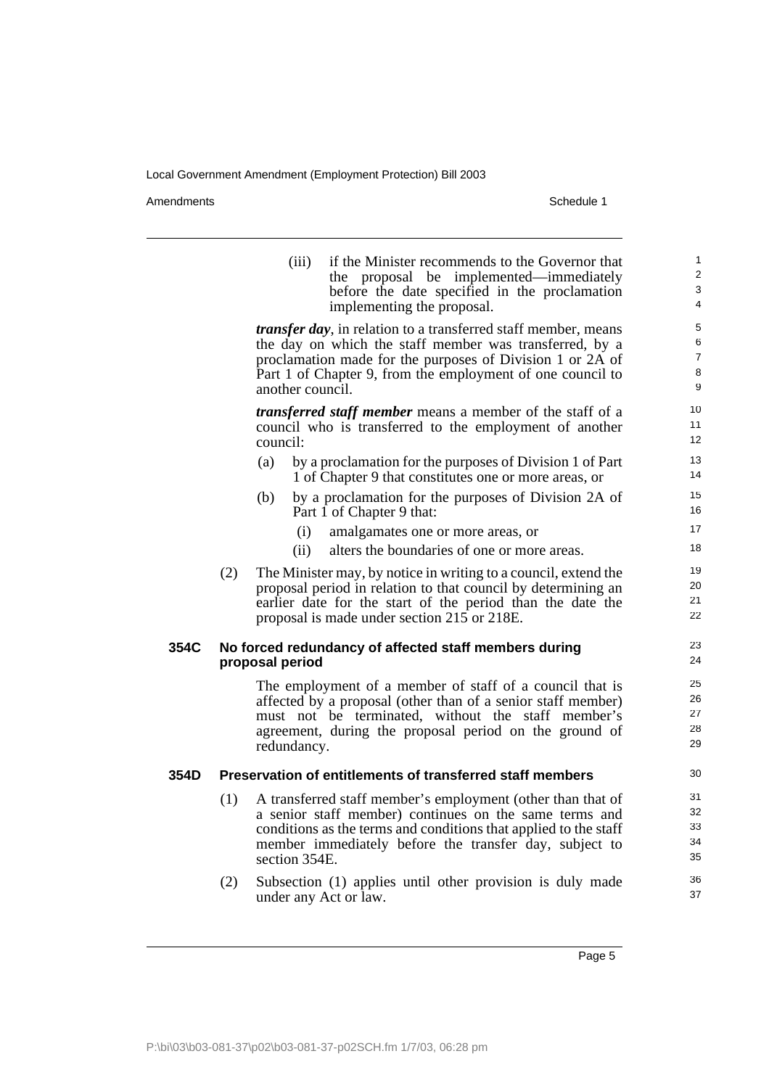Amendments Schedule 1

|      |     | (iii)                 | if the Minister recommends to the Governor that<br>proposal be implemented—immediately<br>the<br>before the date specified in the proclamation<br>implementing the proposal.                                                                                 | 1<br>$\overline{\mathbf{c}}$<br>3<br>4 |
|------|-----|-----------------------|--------------------------------------------------------------------------------------------------------------------------------------------------------------------------------------------------------------------------------------------------------------|----------------------------------------|
|      |     | another council.      | <i>transfer day</i> , in relation to a transferred staff member, means<br>the day on which the staff member was transferred, by a<br>proclamation made for the purposes of Division 1 or 2A of<br>Part 1 of Chapter 9, from the employment of one council to | 5<br>6<br>7<br>8<br>9                  |
|      |     | council:              | <i>transferred staff member</i> means a member of the staff of a<br>council who is transferred to the employment of another                                                                                                                                  | 10<br>11<br>12                         |
|      |     | (a)                   | by a proclamation for the purposes of Division 1 of Part<br>1 of Chapter 9 that constitutes one or more areas, or                                                                                                                                            | 13<br>14                               |
|      |     | (b)                   | by a proclamation for the purposes of Division 2A of<br>Part 1 of Chapter 9 that:                                                                                                                                                                            | 15<br>16                               |
|      |     | (i)<br>(ii)           | amalgamates one or more areas, or<br>alters the boundaries of one or more areas.                                                                                                                                                                             | 17<br>18                               |
|      | (2) |                       | The Minister may, by notice in writing to a council, extend the<br>proposal period in relation to that council by determining an<br>earlier date for the start of the period than the date the<br>proposal is made under section 215 or 218E.                | 19<br>20<br>21<br>22                   |
| 354C |     | proposal period       | No forced redundancy of affected staff members during                                                                                                                                                                                                        | 23<br>24                               |
|      |     | redundancy.           | The employment of a member of staff of a council that is<br>affected by a proposal (other than of a senior staff member)<br>must not be terminated, without the staff member's<br>agreement, during the proposal period on the ground of                     | 25<br>26<br>27<br>28<br>29             |
| 354D |     |                       | Preservation of entitlements of transferred staff members                                                                                                                                                                                                    | 30                                     |
|      | (1) | section 354E.         | A transferred staff member's employment (other than that of<br>a senior staff member) continues on the same terms and<br>conditions as the terms and conditions that applied to the staff<br>member immediately before the transfer day, subject to          | 31<br>32<br>33<br>34<br>35             |
|      | (2) | under any Act or law. | Subsection (1) applies until other provision is duly made                                                                                                                                                                                                    | 36<br>37                               |

Page 5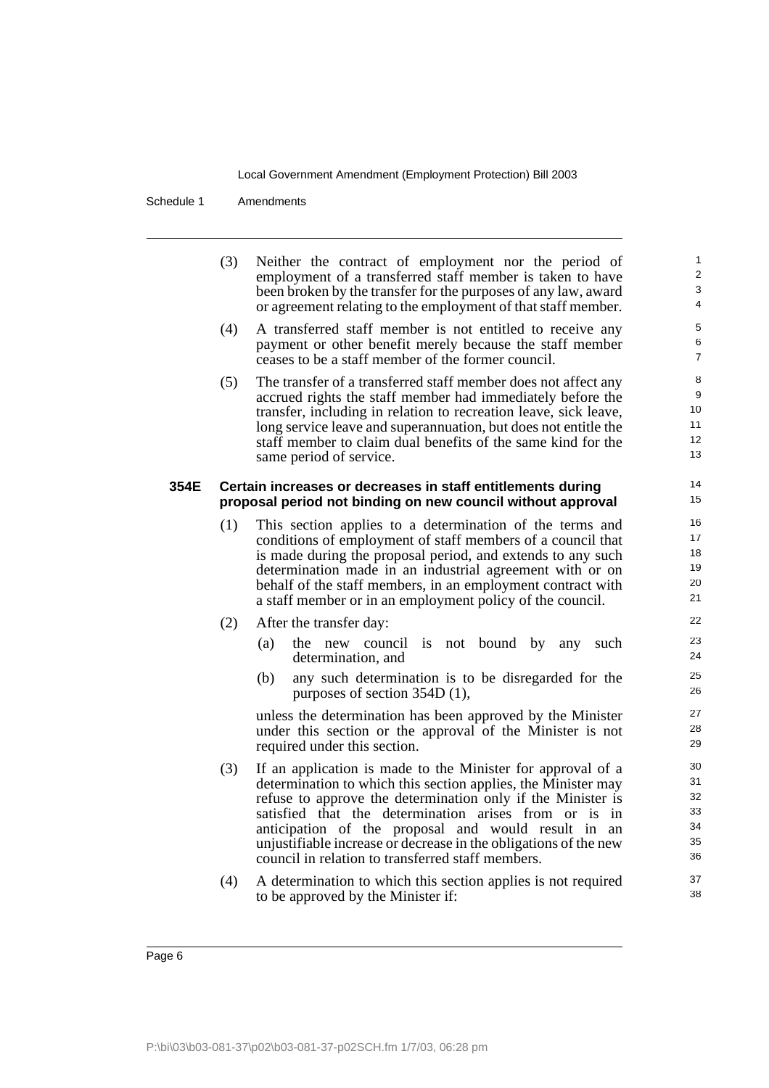Schedule 1 Amendments

|      | (3) | Neither the contract of employment nor the period of<br>employment of a transferred staff member is taken to have<br>been broken by the transfer for the purposes of any law, award<br>or agreement relating to the employment of that staff member.                                                                                                                                                                                    | $\mathbf{1}$<br>$\overline{2}$<br>3<br>$\overline{4}$ |
|------|-----|-----------------------------------------------------------------------------------------------------------------------------------------------------------------------------------------------------------------------------------------------------------------------------------------------------------------------------------------------------------------------------------------------------------------------------------------|-------------------------------------------------------|
|      | (4) | A transferred staff member is not entitled to receive any<br>payment or other benefit merely because the staff member<br>ceases to be a staff member of the former council.                                                                                                                                                                                                                                                             | 5<br>6<br>$\overline{7}$                              |
|      | (5) | The transfer of a transferred staff member does not affect any<br>accrued rights the staff member had immediately before the<br>transfer, including in relation to recreation leave, sick leave,<br>long service leave and superannuation, but does not entitle the<br>staff member to claim dual benefits of the same kind for the<br>same period of service.                                                                          | 8<br>9<br>10<br>11<br>12<br>13                        |
| 354E |     | Certain increases or decreases in staff entitlements during<br>proposal period not binding on new council without approval                                                                                                                                                                                                                                                                                                              | 14<br>15                                              |
|      | (1) | This section applies to a determination of the terms and<br>conditions of employment of staff members of a council that<br>is made during the proposal period, and extends to any such<br>determination made in an industrial agreement with or on<br>behalf of the staff members, in an employment contract with<br>a staff member or in an employment policy of the council.                                                          | 16<br>17<br>18<br>19<br>20<br>21                      |
|      | (2) | After the transfer day:                                                                                                                                                                                                                                                                                                                                                                                                                 | 22                                                    |
|      |     | the new council is not<br>(a)<br>bound by<br>such<br>any<br>determination, and                                                                                                                                                                                                                                                                                                                                                          | 23<br>24                                              |
|      |     | (b)<br>any such determination is to be disregarded for the<br>purposes of section 354D (1),                                                                                                                                                                                                                                                                                                                                             | 25<br>26                                              |
|      |     | unless the determination has been approved by the Minister<br>under this section or the approval of the Minister is not<br>required under this section.                                                                                                                                                                                                                                                                                 | 27<br>28<br>29                                        |
|      | (3) | If an application is made to the Minister for approval of a<br>determination to which this section applies, the Minister may<br>refuse to approve the determination only if the Minister is<br>satisfied that the determination arises from or is in<br>anticipation of the proposal and would result in<br>an<br>unjustifiable increase or decrease in the obligations of the new<br>council in relation to transferred staff members. | 30<br>31<br>32<br>33<br>34<br>35<br>36                |
|      | (4) | A determination to which this section applies is not required<br>to be approved by the Minister if:                                                                                                                                                                                                                                                                                                                                     | 37<br>38                                              |
|      |     |                                                                                                                                                                                                                                                                                                                                                                                                                                         |                                                       |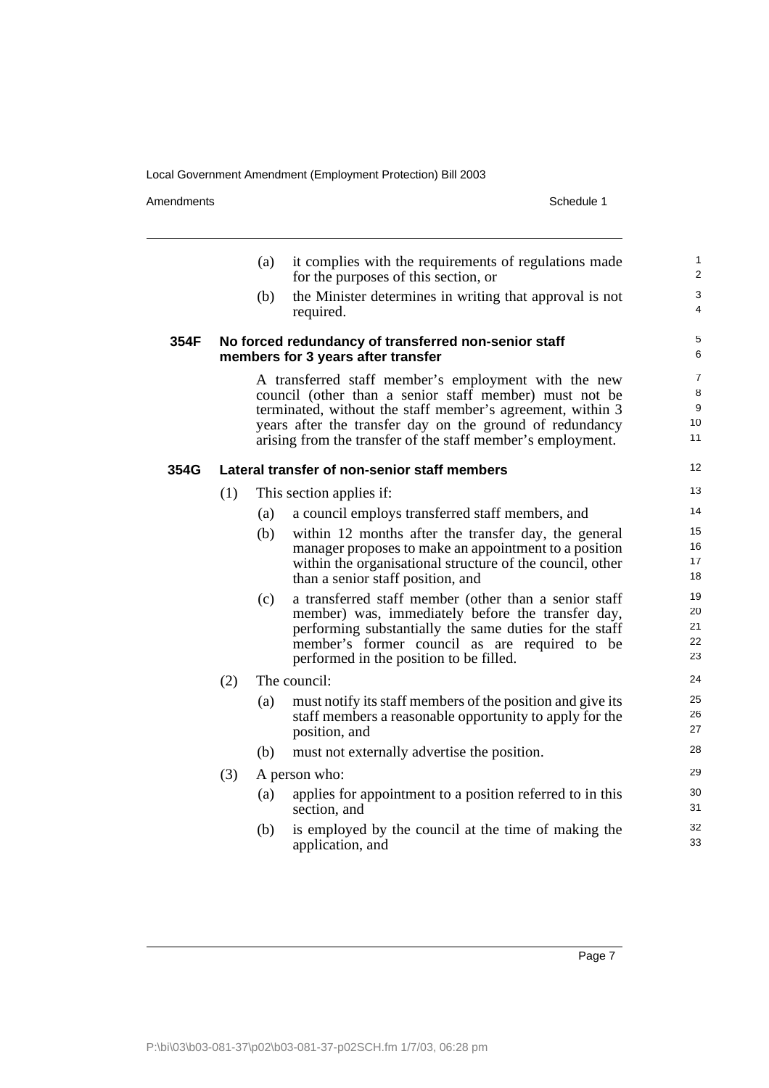Amendments Schedule 1

|      |     | (a) | it complies with the requirements of regulations made<br>for the purposes of this section, or                                                                                                                                                                                                           | $\mathbf{1}$<br>$\overline{2}$                          |
|------|-----|-----|---------------------------------------------------------------------------------------------------------------------------------------------------------------------------------------------------------------------------------------------------------------------------------------------------------|---------------------------------------------------------|
|      |     | (b) | the Minister determines in writing that approval is not<br>required.                                                                                                                                                                                                                                    | 3<br>4                                                  |
| 354F |     |     | No forced redundancy of transferred non-senior staff<br>members for 3 years after transfer                                                                                                                                                                                                              | 5<br>6                                                  |
|      |     |     | A transferred staff member's employment with the new<br>council (other than a senior staff member) must not be<br>terminated, without the staff member's agreement, within 3<br>years after the transfer day on the ground of redundancy<br>arising from the transfer of the staff member's employment. | $\overline{7}$<br>$\bf8$<br>9<br>10 <sup>10</sup><br>11 |
| 354G |     |     | Lateral transfer of non-senior staff members                                                                                                                                                                                                                                                            | 12                                                      |
|      | (1) |     | This section applies if:                                                                                                                                                                                                                                                                                | 13                                                      |
|      |     | (a) | a council employs transferred staff members, and                                                                                                                                                                                                                                                        | 14                                                      |
|      |     | (b) | within 12 months after the transfer day, the general<br>manager proposes to make an appointment to a position<br>within the organisational structure of the council, other<br>than a senior staff position, and                                                                                         | 15<br>16<br>17<br>18                                    |
|      |     | (c) | a transferred staff member (other than a senior staff<br>member) was, immediately before the transfer day,<br>performing substantially the same duties for the staff<br>member's former council as are required to be<br>performed in the position to be filled.                                        | 19<br>20<br>21<br>22<br>23                              |
|      | (2) |     | The council:                                                                                                                                                                                                                                                                                            | 24                                                      |
|      |     | (a) | must notify its staff members of the position and give its<br>staff members a reasonable opportunity to apply for the<br>position, and                                                                                                                                                                  | 25<br>26<br>27                                          |
|      |     | (b) | must not externally advertise the position.                                                                                                                                                                                                                                                             | 28                                                      |
|      | (3) |     | A person who:                                                                                                                                                                                                                                                                                           | 29                                                      |
|      |     | (a) | applies for appointment to a position referred to in this<br>section, and                                                                                                                                                                                                                               | 30<br>31                                                |
|      |     |     | (b) is employed by the council at the time of making the                                                                                                                                                                                                                                                | 32                                                      |

(b) is employed by the council at the time of making the application, and

Page 7

33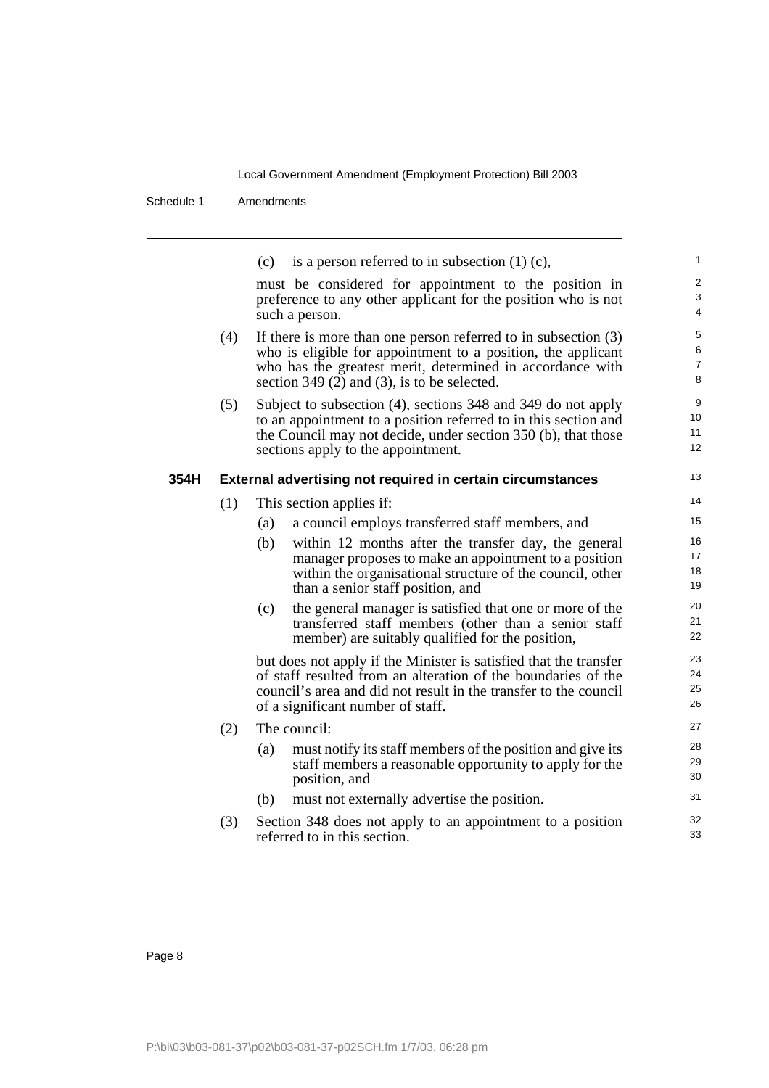Schedule 1 Amendments

(c) is a person referred to in subsection  $(1)$  (c), must be considered for appointment to the position in preference to any other applicant for the position who is not such a person. (4) If there is more than one person referred to in subsection (3) who is eligible for appointment to a position, the applicant who has the greatest merit, determined in accordance with section 349 (2) and (3), is to be selected. (5) Subject to subsection (4), sections 348 and 349 do not apply to an appointment to a position referred to in this section and the Council may not decide, under section 350 (b), that those sections apply to the appointment. **354H External advertising not required in certain circumstances** (1) This section applies if: (a) a council employs transferred staff members, and (b) within 12 months after the transfer day, the general manager proposes to make an appointment to a position within the organisational structure of the council, other than a senior staff position, and (c) the general manager is satisfied that one or more of the transferred staff members (other than a senior staff member) are suitably qualified for the position, but does not apply if the Minister is satisfied that the transfer of staff resulted from an alteration of the boundaries of the council's area and did not result in the transfer to the council of a significant number of staff. (2) The council: (a) must notify its staff members of the position and give its staff members a reasonable opportunity to apply for the position, and (b) must not externally advertise the position. (3) Section 348 does not apply to an appointment to a position referred to in this section. 1  $\overline{2}$ 3 4 5 6 7 8 9 10 11 12 13 14 15 16 17 18 19 20 21 22 23 24 25 26 27 28 29 30 31 32 33